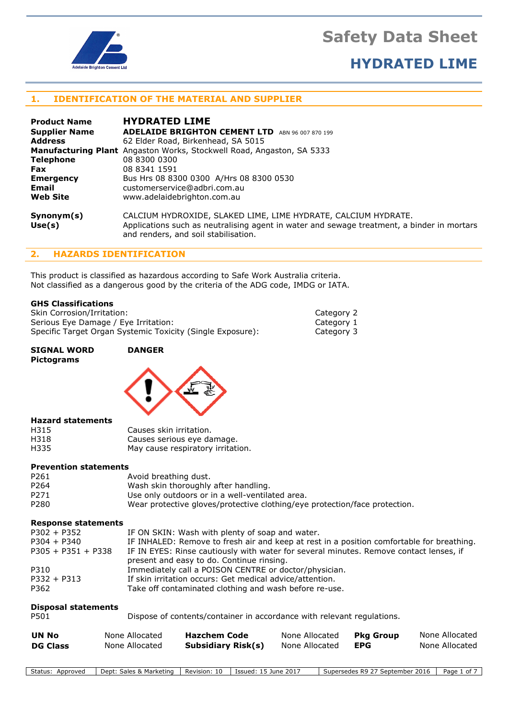

### HYDRATED LIME

### 1. IDENTIFICATION OF THE MATERIAL AND SUPPLIER

| <b>Product Name</b>  | <b>HYDRATED LIME</b>                                                                                                                                                                                 |
|----------------------|------------------------------------------------------------------------------------------------------------------------------------------------------------------------------------------------------|
| <b>Supplier Name</b> | <b>ADELAIDE BRIGHTON CEMENT LTD</b><br>ARN 96 007 870 199                                                                                                                                            |
| <b>Address</b>       | 62 Elder Road, Birkenhead, SA 5015                                                                                                                                                                   |
|                      | <b>Manufacturing Plant</b> Angaston Works, Stockwell Road, Angaston, SA 5333                                                                                                                         |
| <b>Telephone</b>     | 08 8300 0300                                                                                                                                                                                         |
| <b>Fax</b>           | 08 8341 1591                                                                                                                                                                                         |
| <b>Emergency</b>     | Bus Hrs 08 8300 0300 A/Hrs 08 8300 0530                                                                                                                                                              |
| Email                | customerservice@adbri.com.au                                                                                                                                                                         |
| <b>Web Site</b>      | www.adelaidebrighton.com.au                                                                                                                                                                          |
| Symonym(s)<br>Use(s) | CALCIUM HYDROXIDE, SLAKED LIME, LIME HYDRATE, CALCIUM HYDRATE.<br>Applications such as neutralising agent in water and sewage treatment, a binder in mortars<br>and renders, and soil stabilisation. |

### 2. HAZARDS IDENTIFICATION

This product is classified as hazardous according to Safe Work Australia criteria. Not classified as a dangerous good by the criteria of the ADG code, IMDG or IATA.

#### GHS Classifications

| Skin Corrosion/Irritation:                                 | Category 2 |
|------------------------------------------------------------|------------|
| Serious Eye Damage / Eye Irritation:                       | Category 1 |
| Specific Target Organ Systemic Toxicity (Single Exposure): | Category 3 |

### SIGNAL WORD DANGER Pictograms



#### Hazard statements

| H315 | Causes skin irritation.           |
|------|-----------------------------------|
| H318 | Causes serious eye damage.        |
| H335 | May cause respiratory irritation. |

#### Prevention statements

| P <sub>261</sub> | Avoid breathing dust.                                                      |
|------------------|----------------------------------------------------------------------------|
| P <sub>264</sub> | Wash skin thoroughly after handling.                                       |
| P <sub>271</sub> | Use only outdoors or in a well-ventilated area.                            |
| P <sub>280</sub> | Wear protective gloves/protective clothing/eye protection/face protection. |

#### Response statements

| $P302 + P352$        | IF ON SKIN: Wash with plenty of soap and water.                                           |
|----------------------|-------------------------------------------------------------------------------------------|
| $P304 + P340$        | IF INHALED: Remove to fresh air and keep at rest in a position comfortable for breathing. |
| $P305 + P351 + P338$ | IF IN EYES: Rinse cautiously with water for several minutes. Remove contact lenses, if    |
|                      | present and easy to do. Continue rinsing.                                                 |
| P310                 | Immediately call a POISON CENTRE or doctor/physician.                                     |
| $P332 + P313$        | If skin irritation occurs: Get medical advice/attention.                                  |
| P362                 | Take off contaminated clothing and wash before re-use.                                    |
|                      |                                                                                           |

#### Disposal statements

| P501 | Dispose of contents/container in accordance with relevant regulations. |
|------|------------------------------------------------------------------------|
|------|------------------------------------------------------------------------|

| <b>UN No</b>    | None Allocated | <b>Hazchem Code</b>       | None Allocated | <b>Pkg Group</b> | None Allocated |
|-----------------|----------------|---------------------------|----------------|------------------|----------------|
| <b>DG Class</b> | None Allocated | <b>Subsidiary Risk(s)</b> | None Allocated | <b>EPG</b>       | None Allocated |

Status: Approved | Dept: Sales & Marketing | Revision: 10 | Issued: 15 June 2017 | Supersedes R9 27 September 2016 | Page 1 of 7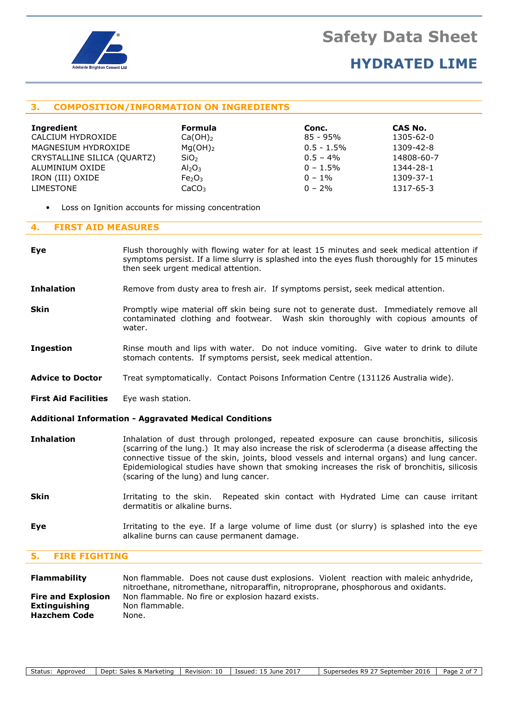

### HYDRATED LIME

### 3. COMPOSITION/INFORMATION ON INGREDIENTS

| Ingredient                  | <b>Formula</b>                 | Conc.         | CAS No.    |
|-----------------------------|--------------------------------|---------------|------------|
| CALCIUM HYDROXIDE           | $Ca(OH)_2$                     | 85 - 95%      | 1305-62-0  |
| MAGNESIUM HYDROXIDE         | $Mq(OH)_2$                     | $0.5 - 1.5\%$ | 1309-42-8  |
| CRYSTALLINE SILICA (QUARTZ) | SiO <sub>2</sub>               | $0.5 - 4\%$   | 14808-60-7 |
| ALUMINIUM OXIDE             | Al <sub>2</sub> O <sub>3</sub> | $0 - 1.5\%$   | 1344-28-1  |
| IRON (III) OXIDE            | Fe <sub>2</sub> O <sub>3</sub> | $0 - 1\%$     | 1309-37-1  |
| LIMESTONE                   | CaCO <sub>3</sub>              | $0 - 2%$      | 1317-65-3  |

Loss on Ignition accounts for missing concentration

### 4. FIRST AID MEASURES

- Eye Flush thoroughly with flowing water for at least 15 minutes and seek medical attention if symptoms persist. If a lime slurry is splashed into the eyes flush thoroughly for 15 minutes then seek urgent medical attention.
- Inhalation Remove from dusty area to fresh air. If symptoms persist, seek medical attention.
- **Skin** Promptly wipe material off skin being sure not to generate dust. Immediately remove all contaminated clothing and footwear. Wash skin thoroughly with copious amounts of water.
- **Ingestion** Rinse mouth and lips with water. Do not induce vomiting. Give water to drink to dilute stomach contents. If symptoms persist, seek medical attention.
- Advice to Doctor Treat symptomatically. Contact Poisons Information Centre (131126 Australia wide).
- First Aid Facilities Eye wash station.

#### Additional Information - Aggravated Medical Conditions

- Inhalation Inhalation of dust through prolonged, repeated exposure can cause bronchitis, silicosis (scarring of the lung.) It may also increase the risk of scleroderma (a disease affecting the connective tissue of the skin, joints, blood vessels and internal organs) and lung cancer. Epidemiological studies have shown that smoking increases the risk of bronchitis, silicosis (scaring of the lung) and lung cancer.
- Skin **Interact Interact in Artical** Skin. Repeated skin contact with Hydrated Lime can cause irritant dermatitis or alkaline burns.
- Eye **Eye** Irritating to the eye. If a large volume of lime dust (or slurry) is splashed into the eye alkaline burns can cause permanent damage.

### 5. FIRE FIGHTING

| <b>Flammability</b>       | Non flammable. Does not cause dust explosions. Violent reaction with maleic anhydride, |
|---------------------------|----------------------------------------------------------------------------------------|
|                           | nitroethane, nitromethane, nitroparaffin, nitroproprane, phosphorous and oxidants.     |
| <b>Fire and Explosion</b> | Non flammable. No fire or explosion hazard exists.                                     |
| Extinguishing             | Non flammable.                                                                         |
| <b>Hazchem Code</b>       | None.                                                                                  |
|                           |                                                                                        |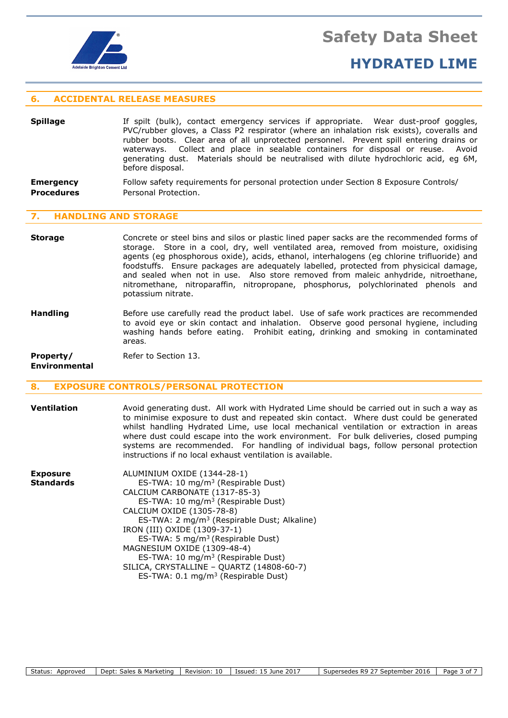

### HYDRATED LIME

### 6. ACCIDENTAL RELEASE MEASURES

**Spillage** If spilt (bulk), contact emergency services if appropriate. Wear dust-proof goggles, PVC/rubber gloves, a Class P2 respirator (where an inhalation risk exists), coveralls and rubber boots. Clear area of all unprotected personnel. Prevent spill entering drains or waterways. Collect and place in sealable containers for disposal or reuse. Avoid generating dust. Materials should be neutralised with dilute hydrochloric acid, eg 6M, before disposal.

**Emergency** Follow safety requirements for personal protection under Section 8 Exposure Controls/ **Procedures** Personal Protection.

### **HANDLING AND STORAGE**

- **Storage** Concrete or steel bins and silos or plastic lined paper sacks are the recommended forms of storage. Store in a cool, dry, well ventilated area, removed from moisture, oxidising agents (eg phosphorous oxide), acids, ethanol, interhalogens (eg chlorine trifluoride) and foodstuffs. Ensure packages are adequately labelled, protected from physicical damage, and sealed when not in use. Also store removed from maleic anhydride, nitroethane, nitromethane, nitroparaffin, nitropropane, phosphorus, polychlorinated phenols and potassium nitrate.
- **Handling** Before use carefully read the product label. Use of safe work practices are recommended to avoid eye or skin contact and inhalation. Observe good personal hygiene, including washing hands before eating. Prohibit eating, drinking and smoking in contaminated areas.

**Property/** Refer to Section 13.

Environmental

### 8. EXPOSURE CONTROLS/PERSONAL PROTECTION

- **Ventilation** Avoid generating dust. All work with Hydrated Lime should be carried out in such a way as to minimise exposure to dust and repeated skin contact. Where dust could be generated whilst handling Hydrated Lime, use local mechanical ventilation or extraction in areas where dust could escape into the work environment. For bulk deliveries, closed pumping systems are recommended. For handling of individual bags, follow personal protection instructions if no local exhaust ventilation is available.
- Exposure ALUMINIUM OXIDE (1344-28-1) **Standards** ES-TWA: 10 mg/m<sup>3</sup> (Respirable Dust) CALCIUM CARBONATE (1317-85-3) ES-TWA: 10 mg/m<sup>3</sup> (Respirable Dust) CALCIUM OXIDE (1305-78-8) ES-TWA: 2 mg/m<sup>3</sup> (Respirable Dust; Alkaline) IRON (III) OXIDE (1309-37-1) ES-TWA: 5 mg/m<sup>3</sup>(Respirable Dust) MAGNESIUM OXIDE (1309-48-4) ES-TWA: 10 mg/m<sup>3</sup> (Respirable Dust) SILICA, CRYSTALLINE – QUARTZ (14808-60-7) ES-TWA: 0.1 mg/m<sup>3</sup> (Respirable Dust)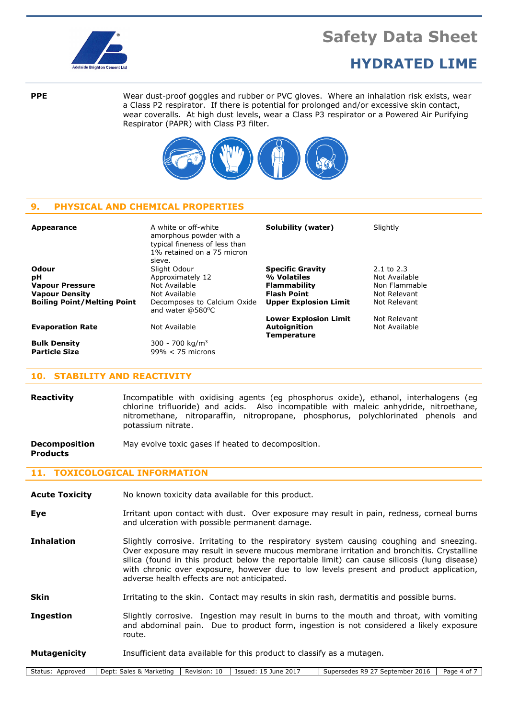

### HYDRATED LIME

**PPE** Wear dust-proof goggles and rubber or PVC gloves. Where an inhalation risk exists, wear a Class P2 respirator. If there is potential for prolonged and/or excessive skin contact, wear coveralls. At high dust levels, wear a Class P3 respirator or a Powered Air Purifying Respirator (PAPR) with Class P3 filter.



### 9. PHYSICAL AND CHEMICAL PROPERTIES

| Appearance                                  | A white or off-white<br>amorphous powder with a<br>typical fineness of less than<br>1% retained on a 75 micron<br>sieve. | Solubility (water)                        | Slightly       |
|---------------------------------------------|--------------------------------------------------------------------------------------------------------------------------|-------------------------------------------|----------------|
| Odour                                       | Slight Odour                                                                                                             | <b>Specific Gravity</b>                   | $2.1$ to $2.3$ |
| рH                                          | Approximately 12                                                                                                         | % Volatiles                               | Not Available  |
| <b>Vapour Pressure</b>                      | Not Available                                                                                                            | <b>Flammability</b>                       | Non Flammable  |
| <b>Vapour Density</b>                       | Not Available                                                                                                            | <b>Flash Point</b>                        | Not Relevant   |
| <b>Boiling Point/Melting Point</b>          | Decomposes to Calcium Oxide<br>and water @580°C                                                                          | <b>Upper Explosion Limit</b>              | Not Relevant   |
|                                             |                                                                                                                          | <b>Lower Explosion Limit</b>              | Not Relevant   |
| <b>Evaporation Rate</b>                     | Not Available                                                                                                            | <b>Autoignition</b><br><b>Temperature</b> | Not Available  |
| <b>Bulk Density</b><br><b>Particle Size</b> | 300 - 700 kg/m <sup>3</sup><br>$99\% < 75$ microns                                                                       |                                           |                |

### 10. STABILITY AND REACTIVITY

Reactivity **Incompatible with oxidising agents (eg phosphorus oxide), ethanol, interhalogens (eg** chlorine trifluoride) and acids. Also incompatible with maleic anhydride, nitroethane, nitromethane, nitroparaffin, nitropropane, phosphorus, polychlorinated phenols and potassium nitrate.

**Decomposition** May evolve toxic gases if heated to decomposition. Products

### 11. TOXICOLOGICAL INFORMATION

- Acute Toxicity Mo known toxicity data available for this product.
- Eye **Inter Interact With dust.** Over exposure may result in pain, redness, corneal burns and ulceration with possible permanent damage.
- Inhalation Slightly corrosive. Irritating to the respiratory system causing coughing and sneezing. Over exposure may result in severe mucous membrane irritation and bronchitis. Crystalline silica (found in this product below the reportable limit) can cause silicosis (lung disease) with chronic over exposure, however due to low levels present and product application, adverse health effects are not anticipated.
- Skin **Interact Irritating to the skin.** Contact may results in skin rash, dermatitis and possible burns.
- **Ingestion** Slightly corrosive. Ingestion may result in burns to the mouth and throat, with vomiting and abdominal pain. Due to product form, ingestion is not considered a likely exposure route.

#### **Mutagenicity** Insufficient data available for this product to classify as a mutagen.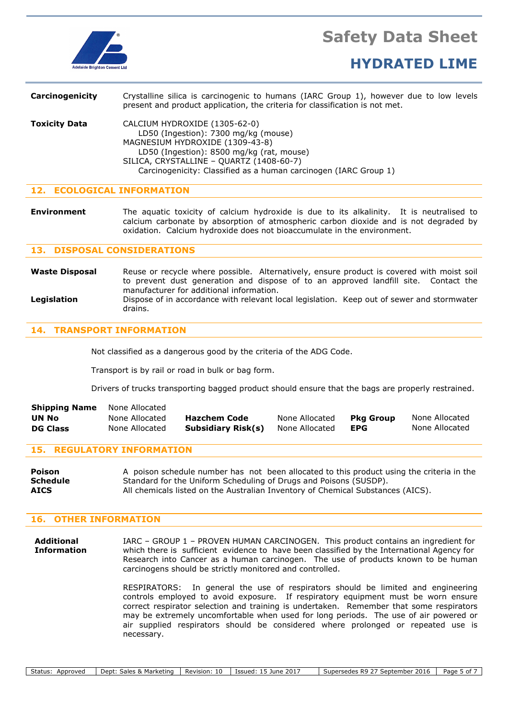

| Carcinogenicity      | Crystalline silica is carcinogenic to humans (IARC Group 1), however due to low levels<br>present and product application, the criteria for classification is not met.                                                                                                |
|----------------------|-----------------------------------------------------------------------------------------------------------------------------------------------------------------------------------------------------------------------------------------------------------------------|
| <b>Toxicity Data</b> | CALCIUM HYDROXIDE (1305-62-0)<br>LD50 (Ingestion): 7300 mg/kg (mouse)<br>MAGNESIUM HYDROXIDE (1309-43-8)<br>LD50 (Ingestion): 8500 mg/kg (rat, mouse)<br>SILICA, CRYSTALLINE - QUARTZ (1408-60-7)<br>Carcinogenicity: Classified as a human carcinogen (IARC Group 1) |

### 12. ECOLOGICAL INFORMATION

**Environment** The aquatic toxicity of calcium hydroxide is due to its alkalinity. It is neutralised to calcium carbonate by absorption of atmospheric carbon dioxide and is not degraded by oxidation. Calcium hydroxide does not bioaccumulate in the environment.

### 13. DISPOSAL CONSIDERATIONS

Waste Disposal Reuse or recycle where possible. Alternatively, ensure product is covered with moist soil to prevent dust generation and dispose of to an approved landfill site. Contact the manufacturer for additional information. Legislation **Dispose of in accordance with relevant local legislation.** Keep out of sewer and stormwater drains.

### 14. TRANSPORT INFORMATION

Not classified as a dangerous good by the criteria of the ADG Code.

Transport is by rail or road in bulk or bag form.

Drivers of trucks transporting bagged product should ensure that the bags are properly restrained.

| <b>Shipping Name</b> | None Allocated |                           |                |                  |                |
|----------------------|----------------|---------------------------|----------------|------------------|----------------|
| UN No                | None Allocated | <b>Hazchem Code</b>       | None Allocated | <b>Pka Group</b> | None Allocated |
| <b>DG Class</b>      | None Allocated | <b>Subsidiary Risk(s)</b> | None Allocated | EPG              | None Allocated |

### 15. REGULATORY INFORMATION

**Poison** A poison schedule number has not been allocated to this product using the criteria in the Schedule Standard for the Uniform Scheduling of Drugs and Poisons (SUSDP). AICS All chemicals listed on the Australian Inventory of Chemical Substances (AICS).

### 16. OTHER INFORMATION

Additional IARC – GROUP 1 – PROVEN HUMAN CARCINOGEN. This product contains an ingredient for **Information** which there is sufficient evidence to have been classified by the International Agency for Research into Cancer as a human carcinogen. The use of products known to be human carcinogens should be strictly monitored and controlled.

> RESPIRATORS: In general the use of respirators should be limited and engineering controls employed to avoid exposure. If respiratory equipment must be worn ensure correct respirator selection and training is undertaken. Remember that some respirators may be extremely uncomfortable when used for long periods. The use of air powered or air supplied respirators should be considered where prolonged or repeated use is necessary.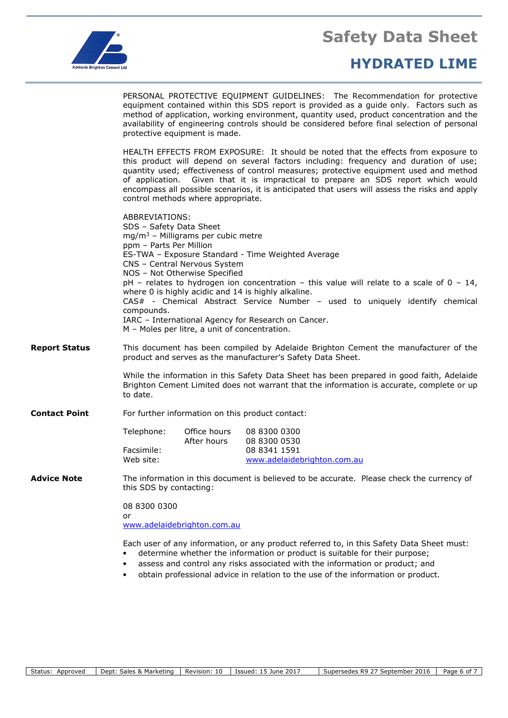

### HYDRATED LIME

 PERSONAL PROTECTIVE EQUIPMENT GUIDELINES: The Recommendation for protective equipment contained within this SDS report is provided as a guide only. Factors such as method of application, working environment, quantity used, product concentration and the availability of engineering controls should be considered before final selection of personal protective equipment is made.

 HEALTH EFFECTS FROM EXPOSURE: It should be noted that the effects from exposure to this product will depend on several factors including: frequency and duration of use; quantity used; effectiveness of control measures; protective equipment used and method of application. Given that it is impractical to prepare an SDS report which would encompass all possible scenarios, it is anticipated that users will assess the risks and apply control methods where appropriate.

|                      | ABBREVIATIONS:<br>SDS - Safety Data Sheet<br>mg/m <sup>3</sup> - Milligrams per cubic metre<br>ppm - Parts Per Million<br>ES-TWA - Exposure Standard - Time Weighted Average<br>CNS - Central Nervous System<br>NOS - Not Otherwise Specified<br>pH - relates to hydrogen ion concentration - this value will relate to a scale of $0 - 14$ ,<br>where 0 is highly acidic and 14 is highly alkaline.<br>CAS# - Chemical Abstract Service Number - used to uniquely identify chemical<br>compounds.<br>IARC - International Agency for Research on Cancer.<br>M – Moles per litre, a unit of concentration. |                             |                                                                             |
|----------------------|------------------------------------------------------------------------------------------------------------------------------------------------------------------------------------------------------------------------------------------------------------------------------------------------------------------------------------------------------------------------------------------------------------------------------------------------------------------------------------------------------------------------------------------------------------------------------------------------------------|-----------------------------|-----------------------------------------------------------------------------|
| <b>Report Status</b> | This document has been compiled by Adelaide Brighton Cement the manufacturer of the<br>product and serves as the manufacturer's Safety Data Sheet.                                                                                                                                                                                                                                                                                                                                                                                                                                                         |                             |                                                                             |
|                      | While the information in this Safety Data Sheet has been prepared in good faith, Adelaide<br>Brighton Cement Limited does not warrant that the information is accurate, complete or up<br>to date.                                                                                                                                                                                                                                                                                                                                                                                                         |                             |                                                                             |
| <b>Contact Point</b> | For further information on this product contact:                                                                                                                                                                                                                                                                                                                                                                                                                                                                                                                                                           |                             |                                                                             |
|                      | Telephone:<br>Facsimile:<br>Web site:                                                                                                                                                                                                                                                                                                                                                                                                                                                                                                                                                                      | Office hours<br>After hours | 08 8300 0300<br>08 8300 0530<br>08 8341 1591<br>www.adelaidebrighton.com.au |
| <b>Advice Note</b>   | The information in this document is believed to be accurate. Please check the currency of<br>this SDS by contacting:                                                                                                                                                                                                                                                                                                                                                                                                                                                                                       |                             |                                                                             |
|                      | 08 8300 0300<br>or<br>www.adelaidebrighton.com.au                                                                                                                                                                                                                                                                                                                                                                                                                                                                                                                                                          |                             |                                                                             |
|                      | Each user of any information, or any product referred to, in this Safety Data Sheet must:<br>$\bullet$ determine whether the information or product is suitable for their purpose.                                                                                                                                                                                                                                                                                                                                                                                                                         |                             |                                                                             |

- determine whether the information or product is suitable for their purpose; • assess and control any risks associated with the information or product; and
- obtain professional advice in relation to the use of the information or product.